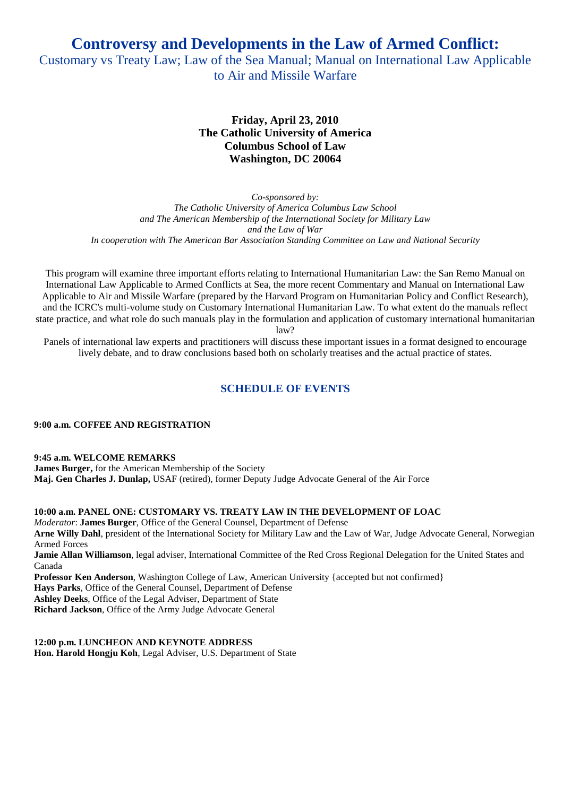**Controversy and Developments in the Law of Armed Conflict:** 

Customary vs Treaty Law; Law of the Sea Manual; Manual on International Law Applicable to Air and Missile Warfare

# **Friday, April 23, 2010 The Catholic University of America Columbus School of Law Washington, DC 20064**

*Co-sponsored by: The Catholic University of America Columbus Law School and The American Membership of the International Society for Military Law and the Law of War In cooperation with The American Bar Association Standing Committee on Law and National Security* 

This program will examine three important efforts relating to International Humanitarian Law: the San Remo Manual on International Law Applicable to Armed Conflicts at Sea, the more recent Commentary and Manual on International Law Applicable to Air and Missile Warfare (prepared by the Harvard Program on Humanitarian Policy and Conflict Research), and the ICRC's multi-volume study on Customary International Humanitarian Law. To what extent do the manuals reflect state practice, and what role do such manuals play in the formulation and application of customary international humanitarian law?

Panels of international law experts and practitioners will discuss these important issues in a format designed to encourage lively debate, and to draw conclusions based both on scholarly treatises and the actual practice of states.

# **SCHEDULE OF EVENTS**

**9:00 a.m. COFFEE AND REGISTRATION** 

**9:45 a.m. WELCOME REMARKS** 

**James Burger,** for the American Membership of the Society **Maj. Gen Charles J. Dunlap,** USAF (retired), former Deputy Judge Advocate General of the Air Force

**10:00 a.m. PANEL ONE: CUSTOMARY VS. TREATY LAW IN THE DEVELOPMENT OF LOAC**  *Moderator*: **James Burger**, Office of the General Counsel, Department of Defense **Arne Willy Dahl**, president of the International Society for Military Law and the Law of War, Judge Advocate General, Norwegian Armed Forces **Jamie Allan Williamson**, legal adviser, International Committee of the Red Cross Regional Delegation for the United States and Canada

**Professor Ken Anderson**, Washington College of Law, American University {accepted but not confirmed} **Hays Parks**, Office of the General Counsel, Department of Defense **Ashley Deeks**, Office of the Legal Adviser, Department of State **Richard Jackson**, Office of the Army Judge Advocate General

**12:00 p.m. LUNCHEON AND KEYNOTE ADDRESS Hon. Harold Hongju Koh**, Legal Adviser, U.S. Department of State